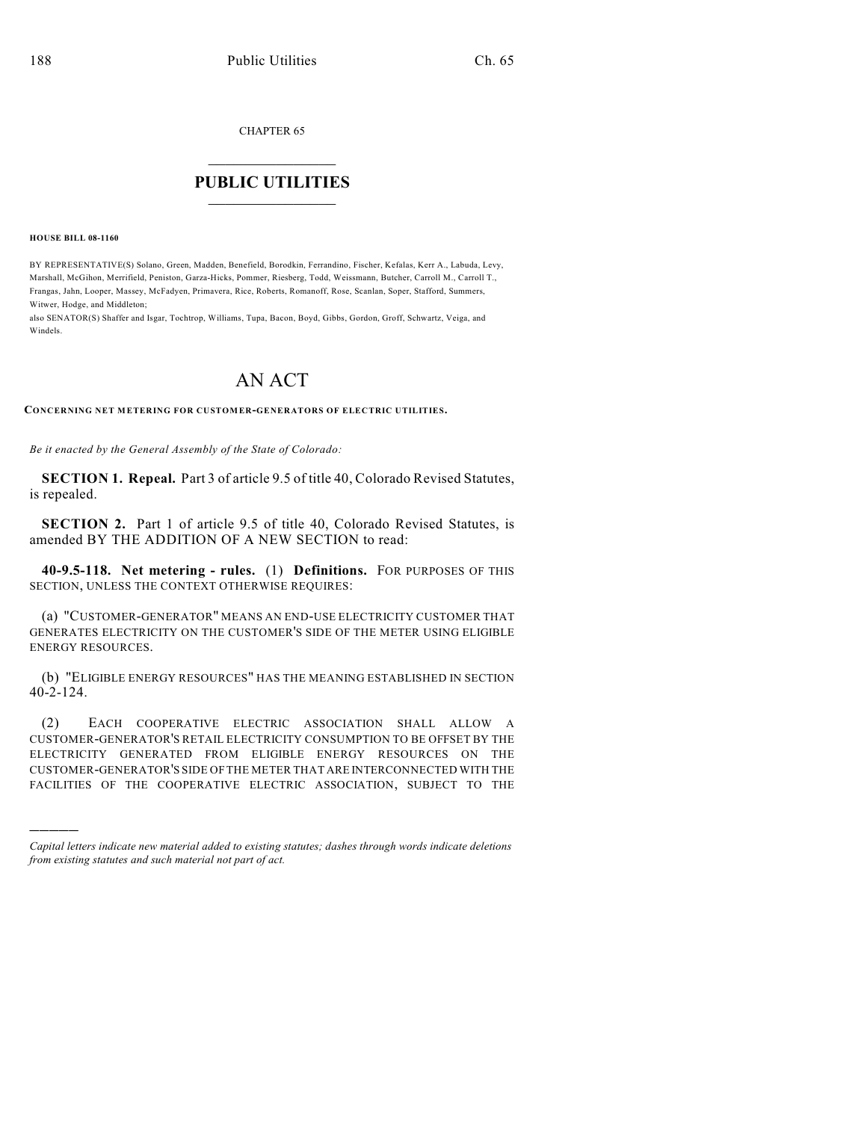CHAPTER 65

## $\overline{\phantom{a}}$  . The set of the set of the set of the set of the set of the set of the set of the set of the set of the set of the set of the set of the set of the set of the set of the set of the set of the set of the set o **PUBLIC UTILITIES** \_\_\_\_\_\_\_\_\_\_\_\_\_\_\_

**HOUSE BILL 08-1160**

)))))

BY REPRESENTATIVE(S) Solano, Green, Madden, Benefield, Borodkin, Ferrandino, Fischer, Kefalas, Kerr A., Labuda, Levy, Marshall, McGihon, Merrifield, Peniston, Garza-Hicks, Pommer, Riesberg, Todd, Weissmann, Butcher, Carroll M., Carroll T., Frangas, Jahn, Looper, Massey, McFadyen, Primavera, Rice, Roberts, Romanoff, Rose, Scanlan, Soper, Stafford, Summers, Witwer, Hodge, and Middleton;

also SENATOR(S) Shaffer and Isgar, Tochtrop, Williams, Tupa, Bacon, Boyd, Gibbs, Gordon, Groff, Schwartz, Veiga, and Windels.

## AN ACT

**CONCERNING NET METERING FOR CUSTOMER-GENERATORS OF ELECTRIC UTILITIES.**

*Be it enacted by the General Assembly of the State of Colorado:*

**SECTION 1. Repeal.** Part 3 of article 9.5 of title 40, Colorado Revised Statutes, is repealed.

**SECTION 2.** Part 1 of article 9.5 of title 40, Colorado Revised Statutes, is amended BY THE ADDITION OF A NEW SECTION to read:

**40-9.5-118. Net metering - rules.** (1) **Definitions.** FOR PURPOSES OF THIS SECTION, UNLESS THE CONTEXT OTHERWISE REQUIRES:

(a) "CUSTOMER-GENERATOR" MEANS AN END-USE ELECTRICITY CUSTOMER THAT GENERATES ELECTRICITY ON THE CUSTOMER'S SIDE OF THE METER USING ELIGIBLE ENERGY RESOURCES.

(b) "ELIGIBLE ENERGY RESOURCES" HAS THE MEANING ESTABLISHED IN SECTION 40-2-124.

(2) EACH COOPERATIVE ELECTRIC ASSOCIATION SHALL ALLOW A CUSTOMER-GENERATOR'S RETAIL ELECTRICITY CONSUMPTION TO BE OFFSET BY THE ELECTRICITY GENERATED FROM ELIGIBLE ENERGY RESOURCES ON THE CUSTOMER-GENERATOR'S SIDE OF THE METER THAT ARE INTERCONNECTED WITH THE FACILITIES OF THE COOPERATIVE ELECTRIC ASSOCIATION, SUBJECT TO THE

*Capital letters indicate new material added to existing statutes; dashes through words indicate deletions from existing statutes and such material not part of act.*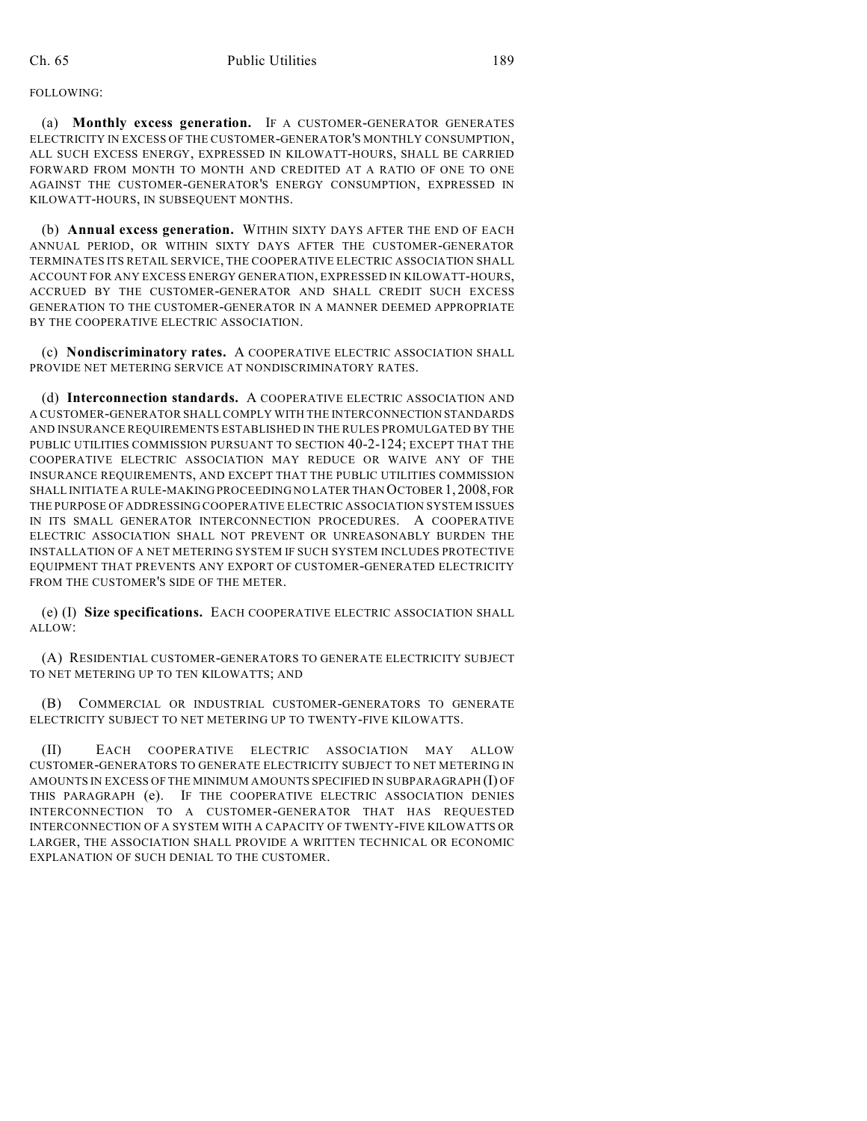(a) **Monthly excess generation.** IF A CUSTOMER-GENERATOR GENERATES ELECTRICITY IN EXCESS OF THE CUSTOMER-GENERATOR'S MONTHLY CONSUMPTION, ALL SUCH EXCESS ENERGY, EXPRESSED IN KILOWATT-HOURS, SHALL BE CARRIED FORWARD FROM MONTH TO MONTH AND CREDITED AT A RATIO OF ONE TO ONE AGAINST THE CUSTOMER-GENERATOR'S ENERGY CONSUMPTION, EXPRESSED IN KILOWATT-HOURS, IN SUBSEQUENT MONTHS.

(b) **Annual excess generation.** WITHIN SIXTY DAYS AFTER THE END OF EACH ANNUAL PERIOD, OR WITHIN SIXTY DAYS AFTER THE CUSTOMER-GENERATOR TERMINATES ITS RETAIL SERVICE, THE COOPERATIVE ELECTRIC ASSOCIATION SHALL ACCOUNT FOR ANY EXCESS ENERGY GENERATION, EXPRESSED IN KILOWATT-HOURS, ACCRUED BY THE CUSTOMER-GENERATOR AND SHALL CREDIT SUCH EXCESS GENERATION TO THE CUSTOMER-GENERATOR IN A MANNER DEEMED APPROPRIATE BY THE COOPERATIVE ELECTRIC ASSOCIATION.

(c) **Nondiscriminatory rates.** A COOPERATIVE ELECTRIC ASSOCIATION SHALL PROVIDE NET METERING SERVICE AT NONDISCRIMINATORY RATES.

(d) **Interconnection standards.** A COOPERATIVE ELECTRIC ASSOCIATION AND A CUSTOMER-GENERATOR SHALL COMPLY WITH THE INTERCONNECTION STANDARDS AND INSURANCE REQUIREMENTS ESTABLISHED IN THE RULES PROMULGATED BY THE PUBLIC UTILITIES COMMISSION PURSUANT TO SECTION 40-2-124; EXCEPT THAT THE COOPERATIVE ELECTRIC ASSOCIATION MAY REDUCE OR WAIVE ANY OF THE INSURANCE REQUIREMENTS, AND EXCEPT THAT THE PUBLIC UTILITIES COMMISSION SHALL INITIATE A RULE-MAKING PROCEEDING NO LATER THAN OCTOBER1,2008, FOR THE PURPOSE OF ADDRESSING COOPERATIVE ELECTRIC ASSOCIATION SYSTEM ISSUES IN ITS SMALL GENERATOR INTERCONNECTION PROCEDURES. A COOPERATIVE ELECTRIC ASSOCIATION SHALL NOT PREVENT OR UNREASONABLY BURDEN THE INSTALLATION OF A NET METERING SYSTEM IF SUCH SYSTEM INCLUDES PROTECTIVE EQUIPMENT THAT PREVENTS ANY EXPORT OF CUSTOMER-GENERATED ELECTRICITY FROM THE CUSTOMER'S SIDE OF THE METER.

(e) (I) **Size specifications.** EACH COOPERATIVE ELECTRIC ASSOCIATION SHALL ALLOW:

(A) RESIDENTIAL CUSTOMER-GENERATORS TO GENERATE ELECTRICITY SUBJECT TO NET METERING UP TO TEN KILOWATTS; AND

(B) COMMERCIAL OR INDUSTRIAL CUSTOMER-GENERATORS TO GENERATE ELECTRICITY SUBJECT TO NET METERING UP TO TWENTY-FIVE KILOWATTS.

(II) EACH COOPERATIVE ELECTRIC ASSOCIATION MAY ALLOW CUSTOMER-GENERATORS TO GENERATE ELECTRICITY SUBJECT TO NET METERING IN AMOUNTS IN EXCESS OF THE MINIMUM AMOUNTS SPECIFIED IN SUBPARAGRAPH (I) OF THIS PARAGRAPH (e). IF THE COOPERATIVE ELECTRIC ASSOCIATION DENIES INTERCONNECTION TO A CUSTOMER-GENERATOR THAT HAS REQUESTED INTERCONNECTION OF A SYSTEM WITH A CAPACITY OF TWENTY-FIVE KILOWATTS OR LARGER, THE ASSOCIATION SHALL PROVIDE A WRITTEN TECHNICAL OR ECONOMIC EXPLANATION OF SUCH DENIAL TO THE CUSTOMER.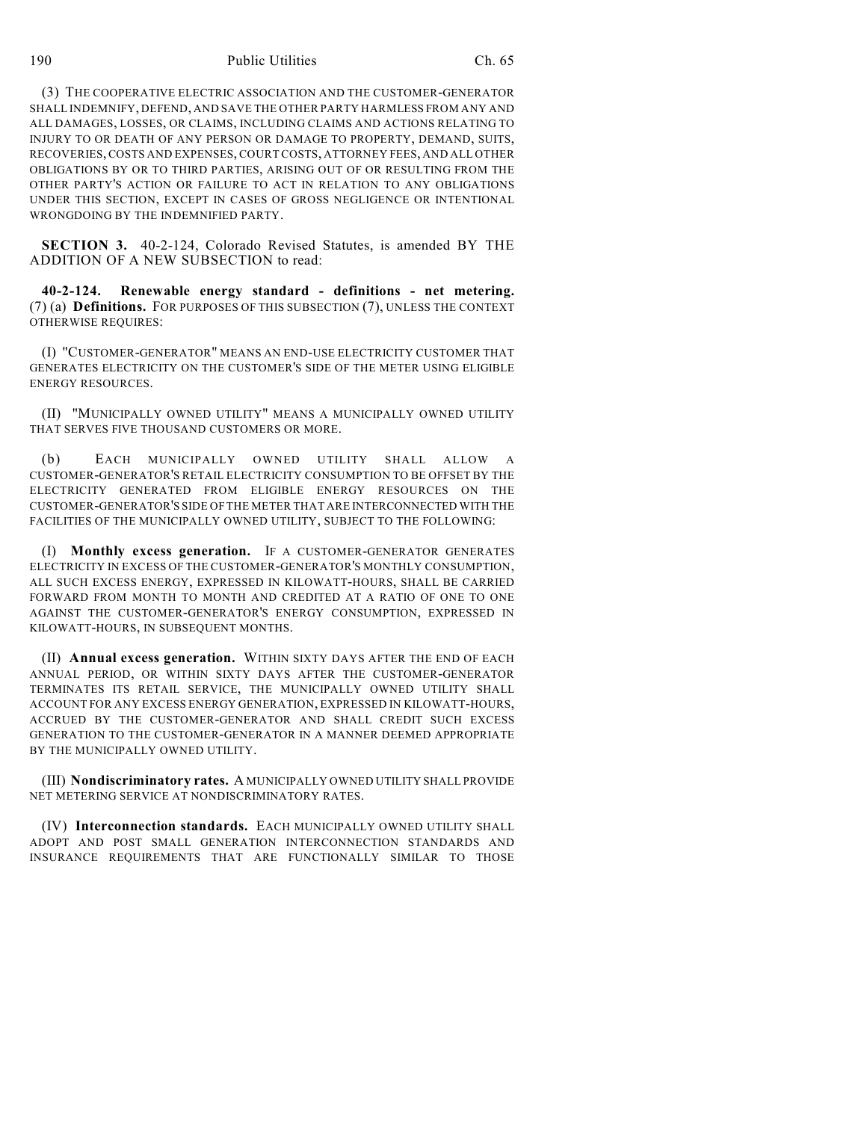190 Public Utilities Ch. 65

(3) THE COOPERATIVE ELECTRIC ASSOCIATION AND THE CUSTOMER-GENERATOR SHALL INDEMNIFY, DEFEND, AND SAVE THE OTHER PARTY HARMLESS FROM ANY AND ALL DAMAGES, LOSSES, OR CLAIMS, INCLUDING CLAIMS AND ACTIONS RELATING TO INJURY TO OR DEATH OF ANY PERSON OR DAMAGE TO PROPERTY, DEMAND, SUITS, RECOVERIES, COSTS AND EXPENSES, COURT COSTS, ATTORNEY FEES, AND ALL OTHER OBLIGATIONS BY OR TO THIRD PARTIES, ARISING OUT OF OR RESULTING FROM THE OTHER PARTY'S ACTION OR FAILURE TO ACT IN RELATION TO ANY OBLIGATIONS UNDER THIS SECTION, EXCEPT IN CASES OF GROSS NEGLIGENCE OR INTENTIONAL WRONGDOING BY THE INDEMNIFIED PARTY.

**SECTION 3.** 40-2-124, Colorado Revised Statutes, is amended BY THE ADDITION OF A NEW SUBSECTION to read:

**40-2-124. Renewable energy standard - definitions - net metering.** (7) (a) **Definitions.** FOR PURPOSES OF THIS SUBSECTION (7), UNLESS THE CONTEXT OTHERWISE REQUIRES:

(I) "CUSTOMER-GENERATOR" MEANS AN END-USE ELECTRICITY CUSTOMER THAT GENERATES ELECTRICITY ON THE CUSTOMER'S SIDE OF THE METER USING ELIGIBLE ENERGY RESOURCES.

(II) "MUNICIPALLY OWNED UTILITY" MEANS A MUNICIPALLY OWNED UTILITY THAT SERVES FIVE THOUSAND CUSTOMERS OR MORE.

(b) EACH MUNICIPALLY OWNED UTILITY SHALL ALLOW A CUSTOMER-GENERATOR'S RETAIL ELECTRICITY CONSUMPTION TO BE OFFSET BY THE ELECTRICITY GENERATED FROM ELIGIBLE ENERGY RESOURCES ON THE CUSTOMER-GENERATOR'S SIDE OF THE METER THAT ARE INTERCONNECTED WITH THE FACILITIES OF THE MUNICIPALLY OWNED UTILITY, SUBJECT TO THE FOLLOWING:

(I) **Monthly excess generation.** IF A CUSTOMER-GENERATOR GENERATES ELECTRICITY IN EXCESS OF THE CUSTOMER-GENERATOR'S MONTHLY CONSUMPTION, ALL SUCH EXCESS ENERGY, EXPRESSED IN KILOWATT-HOURS, SHALL BE CARRIED FORWARD FROM MONTH TO MONTH AND CREDITED AT A RATIO OF ONE TO ONE AGAINST THE CUSTOMER-GENERATOR'S ENERGY CONSUMPTION, EXPRESSED IN KILOWATT-HOURS, IN SUBSEQUENT MONTHS.

(II) **Annual excess generation.** WITHIN SIXTY DAYS AFTER THE END OF EACH ANNUAL PERIOD, OR WITHIN SIXTY DAYS AFTER THE CUSTOMER-GENERATOR TERMINATES ITS RETAIL SERVICE, THE MUNICIPALLY OWNED UTILITY SHALL ACCOUNT FOR ANY EXCESS ENERGY GENERATION, EXPRESSED IN KILOWATT-HOURS, ACCRUED BY THE CUSTOMER-GENERATOR AND SHALL CREDIT SUCH EXCESS GENERATION TO THE CUSTOMER-GENERATOR IN A MANNER DEEMED APPROPRIATE BY THE MUNICIPALLY OWNED UTILITY.

(III) **Nondiscriminatory rates.** A MUNICIPALLY OWNED UTILITY SHALL PROVIDE NET METERING SERVICE AT NONDISCRIMINATORY RATES.

(IV) **Interconnection standards.** EACH MUNICIPALLY OWNED UTILITY SHALL ADOPT AND POST SMALL GENERATION INTERCONNECTION STANDARDS AND INSURANCE REQUIREMENTS THAT ARE FUNCTIONALLY SIMILAR TO THOSE